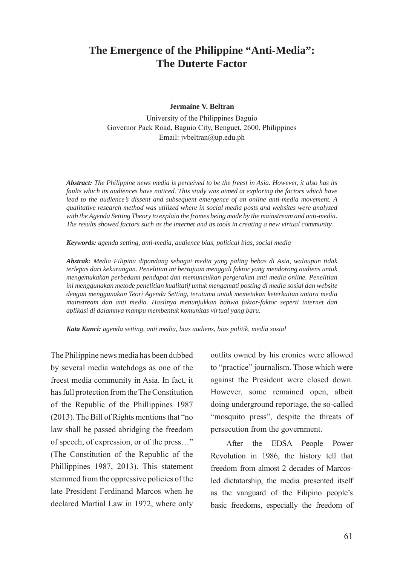# **The Emergence of the Philippine "Anti-Media": The Duterte Factor**

### **Jermaine V. Beltran**

University of the Philippines Baguio Governor Pack Road, Baguio City, Benguet, 2600, Philippines Email: jvbeltran@up.edu.ph

*Abstract: The Philippine news media is perceived to be the freest in Asia. However, it also has its faults which its audiences have noticed. This study was aimed at exploring the factors which have lead to the audience's dissent and subsequent emergence of an online anti-media movement. A qualitative research method was utilized where in social media posts and websites were analyzed with the Agenda Setting Theory to explain the frames being made by the mainstream and anti-media. The results showed factors such as the internet and its tools in creating a new virtual community.*

*Keywords: agenda setting, anti-media, audience bias, political bias, social media*

*Abstrak: Media Filipina dipandang sebagai media yang paling bebas di Asia, walaupun tidak terlepas dari kekurangan. Penelitian ini bertujuan menggali faktor yang mendorong audiens untuk mengemukakan perbedaan pendapat dan memunculkan pergerakan anti media online. Penelitian ini menggunakan metode penelitian kualitatif untuk mengamati posting di media sosial dan website dengan menggunakan Teori Agenda Setting, terutama untuk memetakan keterkaitan antara media mainstream dan anti media. Hasilnya menunjukkan bahwa faktor-faktor seperti internet dan aplikasi di dalamnya mampu membentuk komunitas virtual yang baru.*

*Kata Kunci: agenda setting, anti media, bias audiens, bias politik, media sosial*

The Philippine news media has been dubbed by several media watchdogs as one of the freest media community in Asia. In fact, it has full protection from the The Constitution of the Republic of the Phillippines 1987 (2013). The Bill of Rights mentions that "no law shall be passed abridging the freedom of speech, of expression, or of the press…" (The Constitution of the Republic of the Phillippines 1987, 2013). This statement stemmed from the oppressive policies of the late President Ferdinand Marcos when he declared Martial Law in 1972, where only outfits owned by his cronies were allowed to "practice" journalism. Those which were against the President were closed down. However, some remained open, albeit doing underground reportage, the so-called "mosquito press", despite the threats of persecution from the government.

After the EDSA People Power Revolution in 1986, the history tell that freedom from almost 2 decades of Marcosled dictatorship, the media presented itself as the vanguard of the Filipino people's basic freedoms, especially the freedom of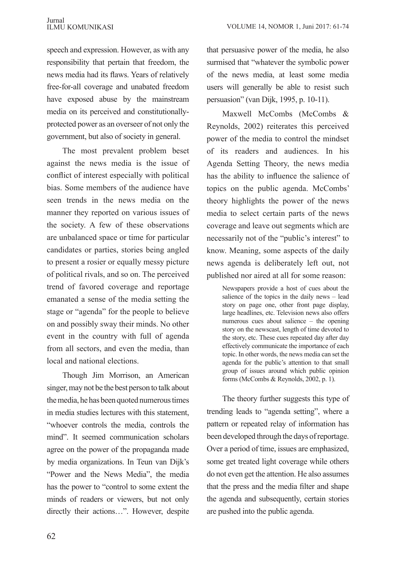speech and expression. However, as with any responsibility that pertain that freedom, the news media had its flaws. Years of relatively free-for-all coverage and unabated freedom have exposed abuse by the mainstream media on its perceived and constitutionallyprotected power as an overseer of not only the government, but also of society in general.

The most prevalent problem beset against the news media is the issue of conflict of interest especially with political bias. Some members of the audience have seen trends in the news media on the manner they reported on various issues of the society. A few of these observations are unbalanced space or time for particular candidates or parties, stories being angled to present a rosier or equally messy picture of political rivals, and so on. The perceived trend of favored coverage and reportage emanated a sense of the media setting the stage or "agenda" for the people to believe on and possibly sway their minds. No other event in the country with full of agenda from all sectors, and even the media, than local and national elections.

Though Jim Morrison, an American singer, may not be the best person to talk about the media, he has been quoted numerous times in media studies lectures with this statement, "whoever controls the media, controls the mind". It seemed communication scholars agree on the power of the propaganda made by media organizations. In Teun van Dijk's "Power and the News Media", the media has the power to "control to some extent the minds of readers or viewers, but not only directly their actions…". However, despite that persuasive power of the media, he also surmised that "whatever the symbolic power of the news media, at least some media users will generally be able to resist such persuasion" (van Dijk, 1995, p. 10-11).

Maxwell McCombs (McCombs & Reynolds, 2002) reiterates this perceived power of the media to control the mindset of its readers and audiences. In his Agenda Setting Theory, the news media has the ability to influence the salience of topics on the public agenda. McCombs' theory highlights the power of the news media to select certain parts of the news coverage and leave out segments which are necessarily not of the "public's interest" to know. Meaning, some aspects of the daily news agenda is deliberately left out, not published nor aired at all for some reason:

> Newspapers provide a host of cues about the salience of the topics in the daily news – lead story on page one, other front page display, large headlines, etc. Television news also offers numerous cues about salience – the opening story on the newscast, length of time devoted to the story, etc. These cues repeated day after day effectively communicate the importance of each topic. In other words, the news media can set the agenda for the public's attention to that small group of issues around which public opinion forms (McCombs & Reynolds, 2002, p. 1).

The theory further suggests this type of trending leads to "agenda setting", where a pattern or repeated relay of information has been developed through the days of reportage. Over a period of time, issues are emphasized, some get treated light coverage while others do not even get the attention. He also assumes that the press and the media filter and shape the agenda and subsequently, certain stories are pushed into the public agenda.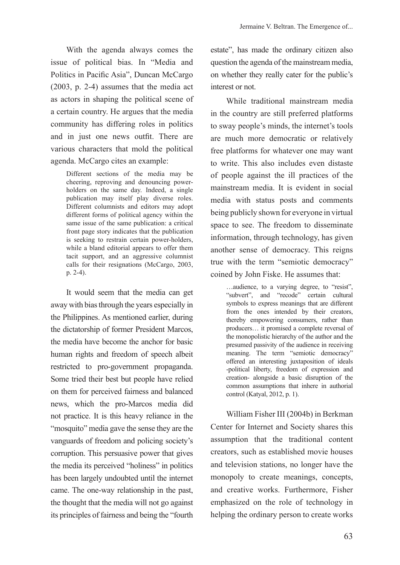With the agenda always comes the issue of political bias. In "Media and Politics in Pacific Asia", Duncan McCargo (2003, p. 2-4) assumes that the media act as actors in shaping the political scene of a certain country. He argues that the media community has differing roles in politics and in just one news outfit. There are various characters that mold the political agenda. McCargo cites an example:

> Different sections of the media may be cheering, reproving and denouncing powerholders on the same day. Indeed, a single publication may itself play diverse roles. Different columnists and editors may adopt different forms of political agency within the same issue of the same publication: a critical front page story indicates that the publication is seeking to restrain certain power-holders, while a bland editorial appears to offer them tacit support, and an aggressive columnist calls for their resignations (McCargo, 2003, p. 2-4).

It would seem that the media can get away with bias through the years especially in the Philippines. As mentioned earlier, during the dictatorship of former President Marcos, the media have become the anchor for basic human rights and freedom of speech albeit restricted to pro-government propaganda. Some tried their best but people have relied on them for perceived fairness and balanced news, which the pro-Marcos media did not practice. It is this heavy reliance in the "mosquito" media gave the sense they are the vanguards of freedom and policing society's corruption. This persuasive power that gives the media its perceived "holiness" in politics has been largely undoubted until the internet came. The one-way relationship in the past, the thought that the media will not go against its principles of fairness and being the "fourth

estate", has made the ordinary citizen also question the agenda of the mainstream media, on whether they really cater for the public's interest or not.

While traditional mainstream media in the country are still preferred platforms to sway people's minds, the internet's tools are much more democratic or relatively free platforms for whatever one may want to write. This also includes even distaste of people against the ill practices of the mainstream media. It is evident in social media with status posts and comments being publicly shown for everyone in virtual space to see. The freedom to disseminate information, through technology, has given another sense of democracy. This reigns true with the term "semiotic democracy" coined by John Fiske. He assumes that:

> …audience, to a varying degree, to "resist", "subvert", and "recode" certain cultural symbols to express meanings that are different from the ones intended by their creators, thereby empowering consumers, rather than producers… it promised a complete reversal of the monopolistic hierarchy of the author and the presumed passivity of the audience in receiving meaning. The term "semiotic democracy" offered an interesting juxtaposition of ideals -political liberty, freedom of expression and creation- alongside a basic disruption of the common assumptions that inhere in authorial control (Katyal, 2012, p. 1).

William Fisher III (2004b) in Berkman Center for Internet and Society shares this assumption that the traditional content creators, such as established movie houses and television stations, no longer have the monopoly to create meanings, concepts, and creative works. Furthermore, Fisher emphasized on the role of technology in helping the ordinary person to create works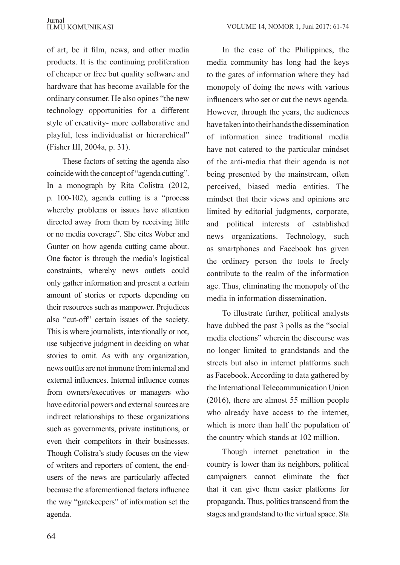of art, be it film, news, and other media products. It is the continuing proliferation of cheaper or free but quality software and hardware that has become available for the ordinary consumer. He also opines "the new technology opportunities for a different style of creativity- more collaborative and playful, less individualist or hierarchical" (Fisher III, 2004a, p. 31).

These factors of setting the agenda also coincide with the concept of "agenda cutting". In a monograph by Rita Colistra (2012, p. 100-102), agenda cutting is a "process whereby problems or issues have attention directed away from them by receiving little or no media coverage". She cites Wober and Gunter on how agenda cutting came about. One factor is through the media's logistical constraints, whereby news outlets could only gather information and present a certain amount of stories or reports depending on their resources such as manpower. Prejudices also "cut-off" certain issues of the society. This is where journalists, intentionally or not, use subjective judgment in deciding on what stories to omit. As with any organization, news outfits are not immune from internal and external influences. Internal influence comes from owners/executives or managers who have editorial powers and external sources are indirect relationships to these organizations such as governments, private institutions, or even their competitors in their businesses. Though Colistra's study focuses on the view of writers and reporters of content, the endusers of the news are particularly affected because the aforementioned factors influence the way "gatekeepers" of information set the agenda.

In the case of the Philippines, the media community has long had the keys to the gates of information where they had monopoly of doing the news with various influencers who set or cut the news agenda. However, through the years, the audiences have taken into their hands the dissemination of information since traditional media have not catered to the particular mindset of the anti-media that their agenda is not being presented by the mainstream, often perceived, biased media entities. The mindset that their views and opinions are limited by editorial judgments, corporate, and political interests of established news organizations. Technology, such as smartphones and Facebook has given the ordinary person the tools to freely contribute to the realm of the information age. Thus, eliminating the monopoly of the media in information dissemination.

To illustrate further, political analysts have dubbed the past 3 polls as the "social media elections" wherein the discourse was no longer limited to grandstands and the streets but also in internet platforms such as Facebook. According to data gathered by the International Telecommunication Union (2016), there are almost 55 million people who already have access to the internet, which is more than half the population of the country which stands at 102 million.

Though internet penetration in the country is lower than its neighbors, political campaigners cannot eliminate the fact that it can give them easier platforms for propaganda. Thus, politics transcend from the stages and grandstand to the virtual space. Sta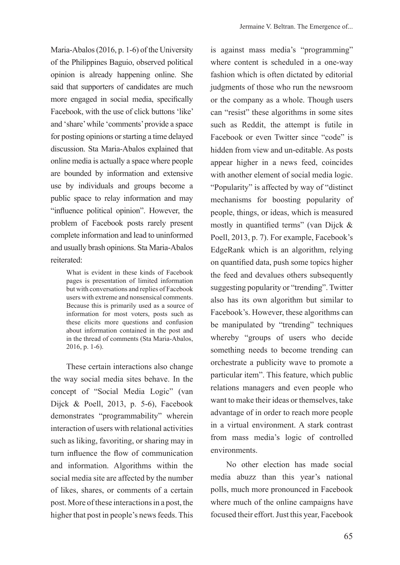Maria-Abalos (2016, p. 1-6) of the University of the Philippines Baguio, observed political opinion is already happening online. She said that supporters of candidates are much more engaged in social media, specifically Facebook, with the use of click buttons 'like' and 'share' while 'comments' provide a space for posting opinions or starting a time delayed discussion. Sta Maria-Abalos explained that online media is actually a space where people are bounded by information and extensive use by individuals and groups become a public space to relay information and may "influence political opinion". However, the problem of Facebook posts rarely present complete information and lead to uninformed and usually brash opinions. Sta Maria-Abalos reiterated:

> What is evident in these kinds of Facebook pages is presentation of limited information but with conversations and replies of Facebook users with extreme and nonsensical comments. Because this is primarily used as a source of information for most voters, posts such as these elicits more questions and confusion about information contained in the post and in the thread of comments (Sta Maria-Abalos, 2016, p. 1-6).

These certain interactions also change the way social media sites behave. In the concept of "Social Media Logic" (van Dijck & Poell, 2013, p. 5-6), Facebook demonstrates "programmability" wherein interaction of users with relational activities such as liking, favoriting, or sharing may in turn influence the flow of communication and information. Algorithms within the social media site are affected by the number of likes, shares, or comments of a certain post. More of these interactions in a post, the higher that post in people's news feeds. This

is against mass media's "programming" where content is scheduled in a one-way fashion which is often dictated by editorial judgments of those who run the newsroom or the company as a whole. Though users can "resist" these algorithms in some sites such as Reddit, the attempt is futile in Facebook or even Twitter since "code" is hidden from view and un-editable. As posts appear higher in a news feed, coincides with another element of social media logic. "Popularity" is affected by way of "distinct mechanisms for boosting popularity of people, things, or ideas, which is measured mostly in quantified terms" (van Dijck  $\&$ Poell, 2013, p. 7). For example, Facebook's EdgeRank which is an algorithm, relying on quantified data, push some topics higher the feed and devalues others subsequently suggesting popularity or "trending". Twitter also has its own algorithm but similar to Facebook's. However, these algorithms can be manipulated by "trending" techniques whereby "groups of users who decide something needs to become trending can orchestrate a publicity wave to promote a particular item". This feature, which public relations managers and even people who want to make their ideas or themselves, take advantage of in order to reach more people in a virtual environment. A stark contrast from mass media's logic of controlled environments.

No other election has made social media abuzz than this year's national polls, much more pronounced in Facebook where much of the online campaigns have focused their effort. Just this year, Facebook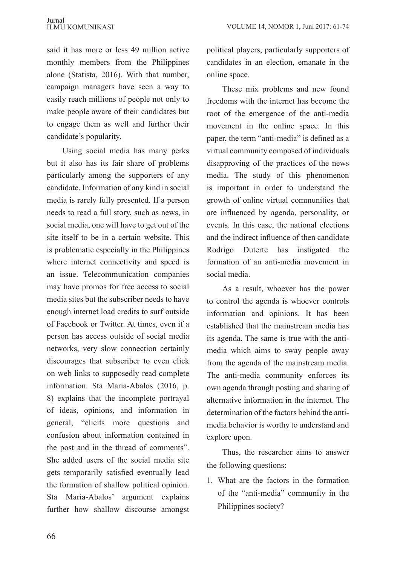said it has more or less 49 million active monthly members from the Philippines alone (Statista, 2016). With that number, campaign managers have seen a way to easily reach millions of people not only to make people aware of their candidates but to engage them as well and further their candidate's popularity.

Using social media has many perks but it also has its fair share of problems particularly among the supporters of any candidate. Information of any kind in social media is rarely fully presented. If a person needs to read a full story, such as news, in social media, one will have to get out of the site itself to be in a certain website. This is problematic especially in the Philippines where internet connectivity and speed is an issue. Telecommunication companies may have promos for free access to social media sites but the subscriber needs to have enough internet load credits to surf outside of Facebook or Twitter. At times, even if a person has access outside of social media networks, very slow connection certainly discourages that subscriber to even click on web links to supposedly read complete information. Sta Maria-Abalos (2016, p. 8) explains that the incomplete portrayal of ideas, opinions, and information in general, "elicits more questions and confusion about information contained in the post and in the thread of comments". She added users of the social media site gets temporarily satisfied eventually lead the formation of shallow political opinion. Sta Maria-Abalos' argument explains further how shallow discourse amongst political players, particularly supporters of candidates in an election, emanate in the online space.

These mix problems and new found freedoms with the internet has become the root of the emergence of the anti-media movement in the online space. In this paper, the term "anti-media" is defined as a virtual community composed of individuals disapproving of the practices of the news media. The study of this phenomenon is important in order to understand the growth of online virtual communities that are influenced by agenda, personality, or events. In this case, the national elections and the indirect influence of then candidate Rodrigo Duterte has instigated the formation of an anti-media movement in social media.

As a result, whoever has the power to control the agenda is whoever controls information and opinions. It has been established that the mainstream media has its agenda. The same is true with the antimedia which aims to sway people away from the agenda of the mainstream media. The anti-media community enforces its own agenda through posting and sharing of alternative information in the internet. The determination of the factors behind the antimedia behavior is worthy to understand and explore upon.

Thus, the researcher aims to answer the following questions:

1. What are the factors in the formation of the "anti-media" community in the Philippines society?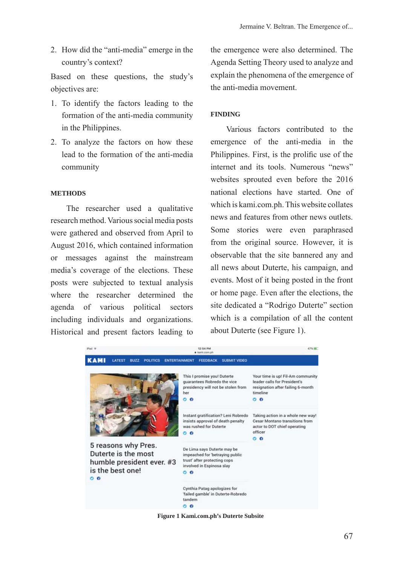2. How did the "anti-media" emerge in the country's context?

Based on these questions, the study's objectives are:

- 1. To identify the factors leading to the formation of the anti-media community in the Philippines.
- 2. To analyze the factors on how these lead to the formation of the anti-media community

### **METHODS**

The researcher used a qualitative research method. Various social media posts were gathered and observed from April to August 2016, which contained information or messages against the mainstream media's coverage of the elections. These posts were subjected to textual analysis where the researcher determined the agenda of various political sectors including individuals and organizations. Historical and present factors leading to

the emergence were also determined. The Agenda Setting Theory used to analyze and explain the phenomena of the emergence of the anti-media movement.

## **FINDING**

Various factors contributed to the emergence of the anti-media in the Philippines. First, is the prolific use of the internet and its tools. Numerous "news" websites sprouted even before the 2016 national elections have started. One of which is kami.com.ph. This website collates news and features from other news outlets. Some stories were even paraphrased from the original source. However, it is observable that the site bannered any and all news about Duterte, his campaign, and events. Most of it being posted in the front or home page. Even after the elections, the site dedicated a "Rodrigo Duterte" section which is a compilation of all the content about Duterte (see Figure 1).



**Figure 1 Kami.com.ph's Duterte Subsite**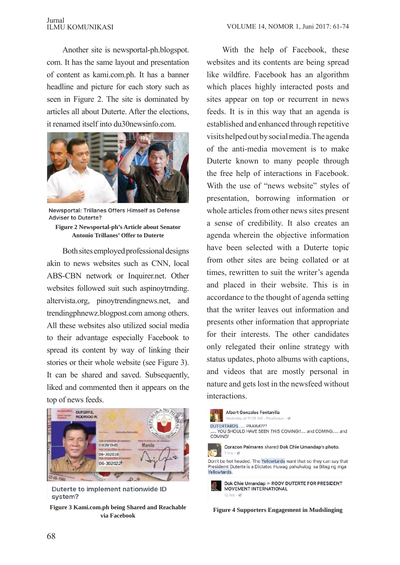### Jurnal ILMU KOMUNIKASI

Another site is newsportal-ph.blogspot. com. It has the same layout and presentation of content as kami.com.ph. It has a banner headline and picture for each story such as seen in Figure 2. The site is dominated by articles all about Duterte. After the elections, it renamed itself into du30newsinfo.com.



Newsportal: Trillanes Offers Himself as Defense **Adviser to Duterte?** 

**Figure 2 Newsportal-ph's Article about Senator Antonio Trillanes' Offer to Duterte**

Both sites employed professional designs akin to news websites such as CNN, local ABS-CBN network or Inquirer.net. Other websites followed suit such aspinoytrnding. altervista.org, pinoytrendingnews.net, and trendingphnewz.blogpost.com among others. All these websites also utilized social media to their advantage especially Facebook to spread its content by way of linking their stories or their whole website (see Figure 3). It can be shared and saved. Subsequently, liked and commented then it appears on the top of news feeds.



Duterte to implement nationwide ID system?

**Figure 3 Kami.com.ph being Shared and Reachable via Facebook**

With the help of Facebook, these websites and its contents are being spread like wildfire. Facebook has an algorithm which places highly interacted posts and sites appear on top or recurrent in news feeds. It is in this way that an agenda is established and enhanced through repetitive visits helped out by social media. The agenda of the anti-media movement is to make Duterte known to many people through the free help of interactions in Facebook. With the use of "news website" styles of presentation, borrowing information or whole articles from other news sites present a sense of credibility. It also creates an agenda wherein the objective information have been selected with a Duterte topic from other sites are being collated or at times, rewritten to suit the writer's agenda and placed in their website. This is in accordance to the thought of agenda setting that the writer leaves out information and presents other information that appropriate for their interests. The other candidates only relegated their online strategy with status updates, photo albums with captions, and videos that are mostly personal in nature and gets lost in the newsfeed without interactions.



**Figure 4 Supporters Engagement in Mudslinging**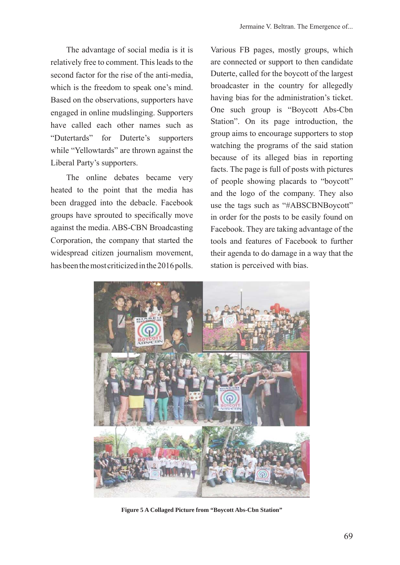The advantage of social media is it is relatively free to comment. This leads to the second factor for the rise of the anti-media, which is the freedom to speak one's mind. Based on the observations, supporters have engaged in online mudslinging. Supporters have called each other names such as "Dutertards" for Duterte's supporters while "Yellowtards" are thrown against the Liberal Party's supporters.

The online debates became very heated to the point that the media has been dragged into the debacle. Facebook groups have sprouted to specifically move against the media. ABS-CBN Broadcasting Corporation, the company that started the widespread citizen journalism movement, has been the most criticized in the 2016 polls. Various FB pages, mostly groups, which are connected or support to then candidate Duterte, called for the boycott of the largest broadcaster in the country for allegedly having bias for the administration's ticket. One such group is "Boycott Abs-Cbn Station". On its page introduction, the group aims to encourage supporters to stop watching the programs of the said station because of its alleged bias in reporting facts. The page is full of posts with pictures of people showing placards to "boycott" and the logo of the company. They also use the tags such as "#ABSCBNBoycott" in order for the posts to be easily found on Facebook. They are taking advantage of the tools and features of Facebook to further their agenda to do damage in a way that the station is perceived with bias.



**Figure 5 A Collaged Picture from "Boycott Abs-Cbn Station"**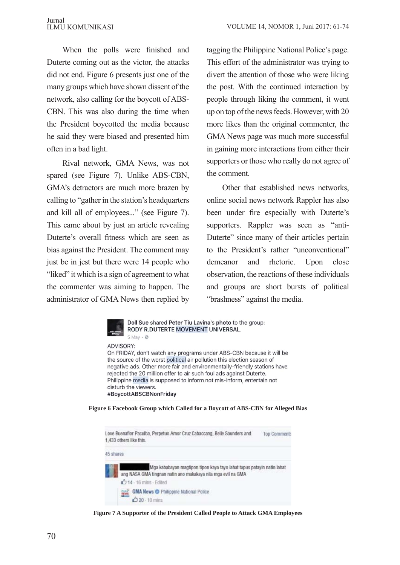When the polls were finished and Duterte coming out as the victor, the attacks did not end. Figure 6 presents just one of the many groups which have shown dissent of the network, also calling for the boycott of ABS-CBN. This was also during the time when the President boycotted the media because he said they were biased and presented him often in a bad light.

Rival network, GMA News, was not spared (see Figure 7). Unlike ABS-CBN, GMA's detractors are much more brazen by calling to "gather in the station's headquarters and kill all of employees..." (see Figure 7). This came about by just an article revealing Duterte's overall fitness which are seen as bias against the President. The comment may just be in jest but there were 14 people who "liked" it which is a sign of agreement to what the commenter was aiming to happen. The administrator of GMA News then replied by tagging the Philippine National Police's page. This effort of the administrator was trying to divert the attention of those who were liking the post. With the continued interaction by people through liking the comment, it went up on top of the news feeds. However, with 20 more likes than the original commenter, the GMA News page was much more successful in gaining more interactions from either their supporters or those who really do not agree of the comment.

Other that established news networks, online social news network Rappler has also been under fire especially with Duterte's supporters. Rappler was seen as "anti-Duterte" since many of their articles pertain to the President's rather "unconventional" demeanor and rhetoric. Upon close observation, the reactions of these individuals and groups are short bursts of political "brashness" against the media.



**Figure 6 Facebook Group which Called for a Boycott of ABS-CBN for Alleged Bias**



**Figure 7 A Supporter of the President Called People to Attack GMA Employees**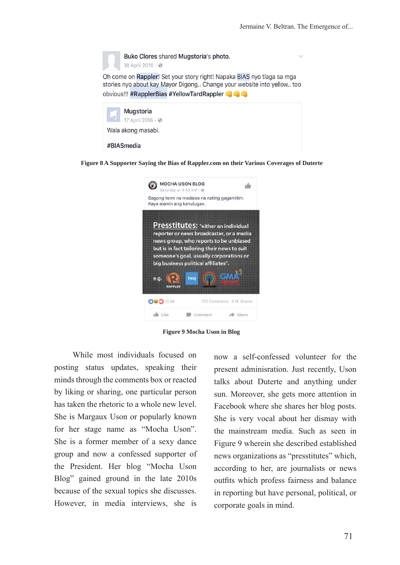

**Figure 8 A Supporter Saying the Bias of Rappler.com on their Various Coverages of Duterte**



**Figure 9 Mocha Uson in Blog**

While most individuals focused on posting status updates, speaking their minds through the comments box or reacted by liking or sharing, one particular person has taken the rhetoric to a whole new level. She is Margaux Uson or popularly known for her stage name as "Mocha Uson". She is a former member of a sexy dance group and now a confessed supporter of the President. Her blog "Mocha Uson Blog" gained ground in the late 2010s because of the sexual topics she discusses. However, in media interviews, she is

now a self-confessed volunteer for the present adminisration. Just recently, Uson talks about Duterte and anything under sun. Moreover, she gets more attention in Facebook where she shares her blog posts. She is very vocal about her dismay with the mainstream media. Such as seen in Figure 9 wherein she described established news organizations as "presstitutes" which, according to her, are journalists or news outfits which profess fairness and balance in reporting but have personal, political, or corporate goals in mind.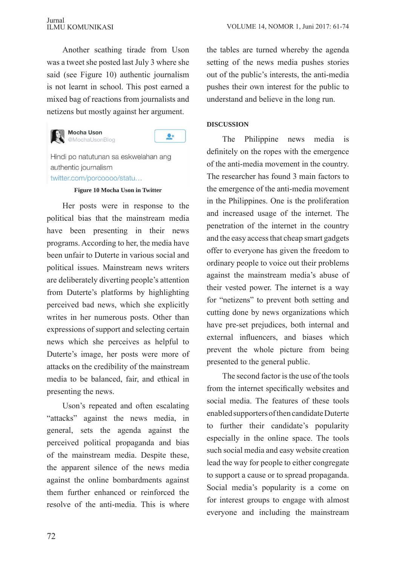Another scathing tirade from Uson was a tweet she posted last July 3 where she said (see Figure 10) authentic journalism is not learnt in school. This post earned a mixed bag of reactions from journalists and netizens but mostly against her argument.



#### **Mocha Uson** @MochaUsonBlog



Hindi po natutunan sa eskwelahan ang authentic journalism twitter.com/porcoooo/statu...

### **Figure 10 Mocha Uson in Twitter**

Her posts were in response to the political bias that the mainstream media have been presenting in their news programs. According to her, the media have been unfair to Duterte in various social and political issues. Mainstream news writers are deliberately diverting people's attention from Duterte's platforms by highlighting perceived bad news, which she explicitly writes in her numerous posts. Other than expressions of support and selecting certain news which she perceives as helpful to Duterte's image, her posts were more of attacks on the credibility of the mainstream media to be balanced, fair, and ethical in presenting the news.

Uson's repeated and often escalating "attacks" against the news media, in general, sets the agenda against the perceived political propaganda and bias of the mainstream media. Despite these, the apparent silence of the news media against the online bombardments against them further enhanced or reinforced the resolve of the anti-media. This is where the tables are turned whereby the agenda setting of the news media pushes stories out of the public's interests, the anti-media pushes their own interest for the public to understand and believe in the long run.

# **DISCUSSION**

The Philippine news media is definitely on the ropes with the emergence of the anti-media movement in the country. The researcher has found 3 main factors to the emergence of the anti-media movement in the Philippines. One is the proliferation and increased usage of the internet. The penetration of the internet in the country and the easy access that cheap smart gadgets offer to everyone has given the freedom to ordinary people to voice out their problems against the mainstream media's abuse of their vested power. The internet is a way for "netizens" to prevent both setting and cutting done by news organizations which have pre-set prejudices, both internal and external influencers, and biases which prevent the whole picture from being presented to the general public.

The second factor is the use of the tools from the internet specifically websites and social media. The features of these tools enabled supporters of then candidate Duterte to further their candidate's popularity especially in the online space. The tools such social media and easy website creation lead the way for people to either congregate to support a cause or to spread propaganda. Social media's popularity is a come on for interest groups to engage with almost everyone and including the mainstream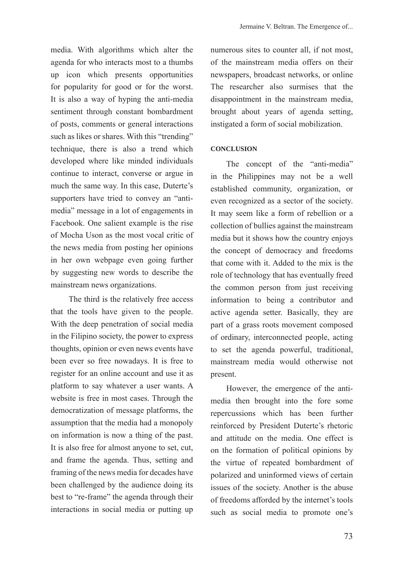media. With algorithms which alter the agenda for who interacts most to a thumbs up icon which presents opportunities for popularity for good or for the worst. It is also a way of hyping the anti-media sentiment through constant bombardment of posts, comments or general interactions such as likes or shares. With this "trending" technique, there is also a trend which developed where like minded individuals continue to interact, converse or argue in much the same way. In this case, Duterte's supporters have tried to convey an "antimedia" message in a lot of engagements in Facebook. One salient example is the rise of Mocha Uson as the most vocal critic of the news media from posting her opinions in her own webpage even going further by suggesting new words to describe the mainstream news organizations.

 The third is the relatively free access that the tools have given to the people. With the deep penetration of social media in the Filipino society, the power to express thoughts, opinion or even news events have been ever so free nowadays. It is free to register for an online account and use it as platform to say whatever a user wants. A website is free in most cases. Through the democratization of message platforms, the assumption that the media had a monopoly on information is now a thing of the past. It is also free for almost anyone to set, cut, and frame the agenda. Thus, setting and framing of the news media for decades have been challenged by the audience doing its best to "re-frame" the agenda through their interactions in social media or putting up numerous sites to counter all, if not most, of the mainstream media offers on their newspapers, broadcast networks, or online The researcher also surmises that the disappointment in the mainstream media, brought about years of agenda setting, instigated a form of social mobilization.

## **CONCLUSION**

The concept of the "anti-media" in the Philippines may not be a well established community, organization, or even recognized as a sector of the society. It may seem like a form of rebellion or a collection of bullies against the mainstream media but it shows how the country enjoys the concept of democracy and freedoms that come with it. Added to the mix is the role of technology that has eventually freed the common person from just receiving information to being a contributor and active agenda setter. Basically, they are part of a grass roots movement composed of ordinary, interconnected people, acting to set the agenda powerful, traditional, mainstream media would otherwise not present.

However, the emergence of the antimedia then brought into the fore some repercussions which has been further reinforced by President Duterte's rhetoric and attitude on the media. One effect is on the formation of political opinions by the virtue of repeated bombardment of polarized and uninformed views of certain issues of the society. Another is the abuse of freedoms afforded by the internet's tools such as social media to promote one's